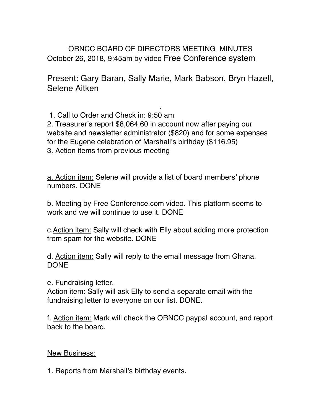ORNCC BOARD OF DIRECTORS MEETING MINUTES October 26, 2018, 9:45am by video Free Conference system

Present: Gary Baran, Sally Marie, Mark Babson, Bryn Hazell, Selene Aitken

.

1. Call to Order and Check in: 9:50 am 2. Treasurer's report \$8,064.60 in account now after paying our website and newsletter administrator (\$820) and for some expenses for the Eugene celebration of Marshall's birthday (\$116.95) 3. Action items from previous meeting

a. Action item: Selene will provide a list of board members' phone numbers. DONE

b. Meeting by Free Conference.com video. This platform seems to work and we will continue to use it. DONE

c.Action item: Sally will check with Elly about adding more protection from spam for the website. DONE

d. Action item: Sally will reply to the email message from Ghana. DONE

e. Fundraising letter.

Action item: Sally will ask Elly to send a separate email with the fundraising letter to everyone on our list. DONE.

f. Action item: Mark will check the ORNCC paypal account, and report back to the board.

New Business:

1. Reports from Marshall's birthday events.